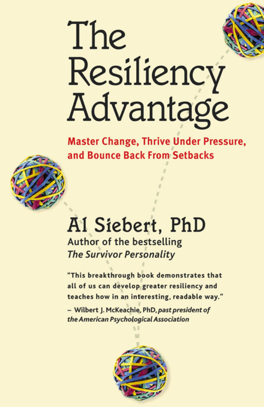# The Resiliency Advantage

**Master Change, Thrive Under Pressure,** and Bounce Back From Setbacks



# Al Siebert, PhD

Author of the bestselling **The Survivor Personality** 

"This breakthrough book demonstrates that all of us can develop greater resiliency and teaches how in an interesting, readable way."

- Wilbert J. McKeachie, PhD, past president of the American Psychological Association

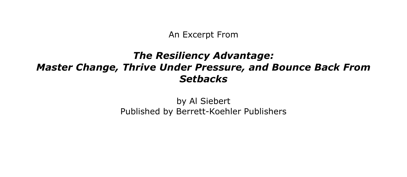An Excerpt From

### *The Resiliency Advantage: Master Change, Thrive Under Pressure, and Bounce Back From Setbacks*

### by Al Siebert Published by Berrett-Koehler Publishers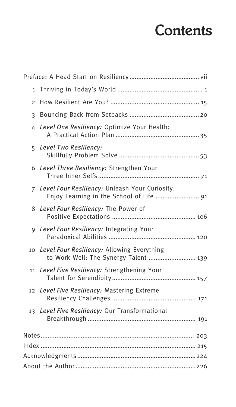# <span id="page-2-0"></span>*Contents*

| $\mathbf{1}$   |                                                                                            |
|----------------|--------------------------------------------------------------------------------------------|
| $\overline{2}$ |                                                                                            |
| 3              |                                                                                            |
| 4              | Level One Resiliency: Optimize Your Health:                                                |
| 5              | Level Two Resiliency:                                                                      |
| 6              | Level Three Resiliency: Strengthen Your                                                    |
| $\overline{7}$ | Level Four Resiliency: Unleash Your Curiosity:<br>Enjoy Learning in the School of Life  91 |
| 8              | Level Four Resiliency: The Power of                                                        |
| 9              | Level Four Resiliency: Integrating Your                                                    |
| 10             | Level Four Resiliency: Allowing Everything<br>to Work Well: The Synergy Talent  139        |
| 11             | Level Five Resiliency: Strengthening Your                                                  |
| 12             | Level Five Resiliency: Mastering Extreme                                                   |
| 13             | Level Five Resiliency: Our Transformational                                                |
|                |                                                                                            |
|                |                                                                                            |
|                |                                                                                            |
|                |                                                                                            |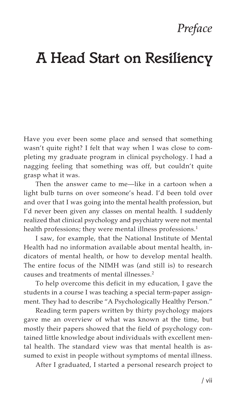## <span id="page-3-0"></span>*Preface*

# *[A Head Start on Resiliency](#page-2-0)*

Have you ever been some place and sensed that something wasn't quite right? I felt that way when I was close to completing my graduate program in clinical psychology. I had a nagging feeling that something was off, but couldn't quite grasp what it was.

Then the answer came to me—like in a cartoon when a light bulb turns on over someone's head. I'd been told over and over that I was going into the mental health profession, but I'd never been given any classes on mental health. I suddenly realized that clinical psychology and psychiatry were not mental health professions; they were mental illness professions.<sup>[1](#page--1-0)</sup>

I saw, for example, that the National Institute of Mental Health had no information available about mental health, indicators of mental health, or how to develop mental health. The entire focus of the NIMH was (and still is) to research causes and treatments of mental illnesses.[2](#page--1-0)

To help overcome this deficit in my education, I gave the students in a course I was teaching a special term-paper assignment. They had to describe "A Psychologically Healthy Person."

Reading term papers written by thirty psychology majors gave me an overview of what was known at the time, but mostly their papers showed that the field of psychology contained little knowledge about individuals with excellent mental health. The standard view was that mental health is assumed to exist in people without symptoms of mental illness.

After I graduated, I started a personal research project to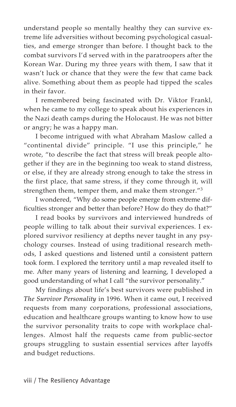understand people so mentally healthy they can survive extreme life adversities without becoming psychological casualties, and emerge stronger than before. I thought back to the combat survivors I'd served with in the paratroopers after the Korean War. During my three years with them, I saw that it wasn't luck or chance that they were the few that came back alive. Something about them as people had tipped the scales in their favor.

I remembered being fascinated with Dr. Viktor Frankl, when he came to my college to speak about his experiences in the Nazi death camps during the Holocaust. He was not bitter or angry; he was a happy man.

I become intrigued with what Abraham Maslow called a "continental divide" principle. "I use this principle," he wrote, "to describe the fact that stress will break people altogether if they are in the beginning too weak to stand distress, or else, if they are already strong enough to take the stress in the first place, that same stress, if they come through it, will strengthen them, temper them, and make them stronger.["3](#page--1-0)

I wondered, "Why do some people emerge from extreme difficulties stronger and better than before? How do they do that?"

I read books by survivors and interviewed hundreds of people willing to talk about their survival experiences. I explored survivor resiliency at depths never taught in any psychology courses. Instead of using traditional research methods, I asked questions and listened until a consistent pattern took form. I explored the territory until a map revealed itself to me. After many years of listening and learning, I developed a good understanding of what I call "the survivor personality."

My findings about life's best survivors were published in *The Survivor Personality* in 1996. When it came out, I received requests from many corporations, professional associations, education and healthcare groups wanting to know how to use the survivor personality traits to cope with workplace challenges. Almost half the requests came from public-sector groups struggling to sustain essential services after layoffs and budget reductions.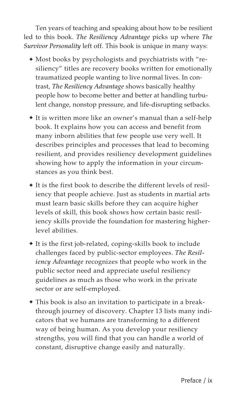Ten years of teaching and speaking about how to be resilient led to this book. *The Resiliency Advantage* picks up where *The Survivor Personality* left off. This book is unique in many ways:

- ✦ Most books by psychologists and psychiatrists with "resiliency" titles are recovery books written for emotionally traumatized people wanting to live normal lives. In contrast, *The Resiliency Advantage* shows basically healthy people how to become better and better at handling turbulent change, nonstop pressure, and life-disrupting setbacks.
- ✦ It is written more like an owner's manual than a self-help book. It explains how you can access and benefit from many inborn abilities that few people use very well. It describes principles and processes that lead to becoming resilient, and provides resiliency development guidelines showing how to apply the information in your circumstances as you think best.
- $\triangle$  It is the first book to describe the different levels of resiliency that people achieve. Just as students in martial arts must learn basic skills before they can acquire higher levels of skill, this book shows how certain basic resiliency skills provide the foundation for mastering higherlevel abilities.
- ✦ It is the first job-related, coping-skills book to include challenges faced by public-sector employees. *The Resiliency Advantage* recognizes that people who work in the public sector need and appreciate useful resiliency guidelines as much as those who work in the private sector or are self-employed.
- ✦ This book is also an invitation to participate in a breakthrough journey of discovery. Chapter 13 lists many indicators that we humans are transforming to a different way of being human. As you develop your resiliency strengths, you will find that you can handle a world of constant, disruptive change easily and naturally.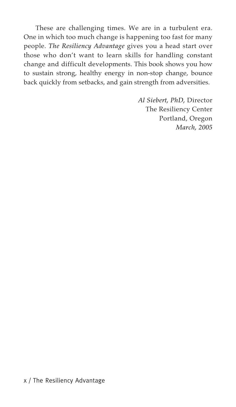These are challenging times. We are in a turbulent era. One in which too much change is happening too fast for many people. *The Resiliency Advantage* gives you a head start over those who don't want to learn skills for handling constant change and difficult developments. This book shows you how to sustain strong, healthy energy in non-stop change, bounce back quickly from setbacks, and gain strength from adversities.

> *Al Siebert, PhD,* Director The Resiliency Center Portland, Oregon *March, 2005*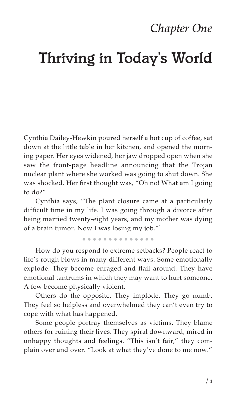### <span id="page-7-0"></span>*Chapter One*

# *[Thriving in Today's World](#page-2-0)*

Cynthia Dailey-Hewkin poured herself a hot cup of coffee, sat down at the little table in her kitchen, and opened the morning paper. Her eyes widened, her jaw dropped open when she saw the front-page headline announcing that the Trojan nuclear plant where she worked was going to shut down. She was shocked. Her first thought was, "Oh no! What am I going to do?"

Cynthia says, "The plant closure came at a particularly difficult time in my life. I was going through a divorce after being married twenty-eight years, and my mother was dying of a brain tumor. Now I was losing my job."[1](#page--1-0)

. . . . . . . . . . . . . .

How do you respond to extreme setbacks? People react to life's rough blows in many different ways. Some emotionally explode. They become enraged and flail around. They have emotional tantrums in which they may want to hurt someone. A few become physically violent.

Others do the opposite. They implode. They go numb. They feel so helpless and overwhelmed they can't even try to cope with what has happened.

Some people portray themselves as victims. They blame others for ruining their lives. They spiral downward, mired in unhappy thoughts and feelings. "This isn't fair," they complain over and over. "Look at what they've done to me now."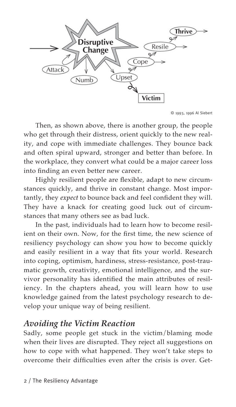

<sup>© 1993, 1996</sup> Al Siebert

Then, as shown above, there is another group, the people who get through their distress, orient quickly to the new reality, and cope with immediate challenges. They bounce back and often spiral upward, stronger and better than before. In the workplace, they convert what could be a major career loss into finding an even better new career.

Highly resilient people are flexible, adapt to new circumstances quickly, and thrive in constant change. Most importantly, they *expect* to bounce back and feel confident they will. They have a knack for creating good luck out of circumstances that many others see as bad luck.

In the past, individuals had to learn how to become resilient on their own. Now, for the first time, the new science of resiliency psychology can show you how to become quickly and easily resilient in a way that fits your world. Research into coping, optimism, hardiness, stress-resistance, post-traumatic growth, creativity, emotional intelligence, and the survivor personality has identified the main attributes of resiliency. In the chapters ahead, you will learn how to use knowledge gained from the latest psychology research to develop your unique way of being resilient.

#### *Avoiding the Victim Reaction*

Sadly, some people get stuck in the victim/blaming mode when their lives are disrupted. They reject all suggestions on how to cope with what happened. They won't take steps to overcome their difficulties even after the crisis is over. Get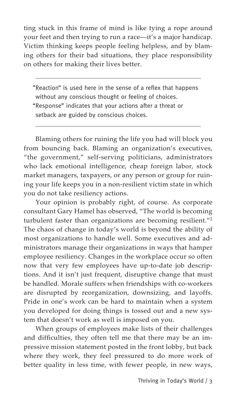ting stuck in this frame of mind is like tying a rope around your feet and then trying to run a race—it's a major handicap. Victim thinking keeps people feeling helpless, and by blaming others for their bad situations, they place responsibility on others for making their lives better.

Reaction" is used here in the sense of a reflex that happens "without any conscious thought or feeling of choices. Response" indicates that your actions after a threat or " setback are guided by conscious choices.

Blaming others for ruining the life you had will block you from bouncing back. Blaming an organization's executives, "the government," self-serving politicians, administrators who lack emotional intelligence, cheap foreign labor, stock market managers, taxpayers, or any person or group for ruining your life keeps you in a non-resilient victim state in which you do not take resiliency actions.

Your opinion is probably right, of course. As corporate consultant Gary Hamel has observed, "The world is becoming turbulent faster than organizations are becoming resilient."[2](#page--1-0) The chaos of change in today's world is beyond the ability of most organizations to handle well. Some executives and administrators manage their organizations in ways that hamper employee resiliency. Changes in the workplace occur so often now that very few employees have up-to-date job descriptions. And it isn't just frequent, disruptive change that must be handled. Morale suffers when friendships with co-workers are disrupted by reorganization, downsizing, and layoffs. Pride in one's work can be hard to maintain when a system you developed for doing things is tossed out and a new system that doesn't work as well is imposed on you.

When groups of employees make lists of their challenges and difficulties, they often tell me that there may be an impressive mission statement posted in the front lobby, but back where they work, they feel pressured to do more work of better quality in less time, with fewer people, in new ways,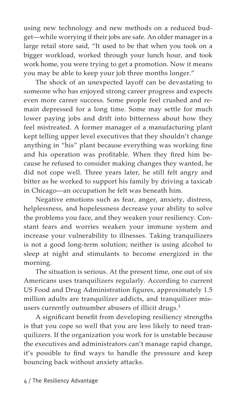using new technology and new methods on a reduced budget—while worrying if their jobs are safe. An older manager in a large retail store said, "It used to be that when you took on a bigger workload, worked through your lunch hour, and took work home, you were trying to get a promotion. Now it means you may be able to keep your job three months longer."

The shock of an unexpected layoff can be devastating to someone who has enjoyed strong career progress and expects even more career success. Some people feel crushed and remain depressed for a long time. Some may settle for much lower paying jobs and drift into bitterness about how they feel mistreated. A former manager of a manufacturing plant kept telling upper level executives that they shouldn't change anything in "his" plant because everything was working fine and his operation was profitable. When they fired him because he refused to consider making changes they wanted, he did not cope well. Three years later, he still felt angry and bitter as he worked to support his family by driving a taxicab in Chicago—an occupation he felt was beneath him.

Negative emotions such as fear, anger, anxiety, distress, helplessness, and hopelessness decrease your ability to solve the problems you face, and they weaken your resiliency. Constant fears and worries weaken your immune system and increase your vulnerability to illnesses. Taking tranquilizers is not a good long-term solution; neither is using alcohol to sleep at night and stimulants to become energized in the morning.

The situation is serious. At the present time, one out of six Americans uses tranquilizers regularly. According to current US Food and Drug Administration figures, approximately 1.5 million adults are tranquilizer addicts, and tranquilizer misusers currently outnumber abusers of illicit drugs.[3](#page--1-0)

A significant benefit from developing resiliency strengths is that you cope so well that you are less likely to need tranquilizers. If the organization you work for is unstable because the executives and administrators can't manage rapid change, it's possible to find ways to handle the pressure and keep bouncing back without anxiety attacks.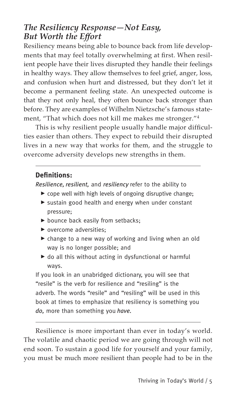#### *The Resiliency Response—Not Easy, But Worth the Effort*

Resiliency means being able to bounce back from life developments that may feel totally overwhelming at first. When resilient people have their lives disrupted they handle their feelings in healthy ways. They allow themselves to feel grief, anger, loss, and confusion when hurt and distressed, but they don't let it become a permanent feeling state. An unexpected outcome is that they not only heal, they often bounce back stronger than before. They are examples of Wilhelm Nietzsche's famous statement, "That which does not kill me makes me stronger."[4](#page--1-0)

This is why resilient people usually handle major difficulties easier than others. They expect to rebuild their disrupted lives in a new way that works for them, and the struggle to overcome adversity develops new strengths in them.

#### **Definitions:**

*Resilience, resilient,* and *resiliency* refer to the ability to

- $\blacktriangleright$  cope well with high levels of ongoing disruptive change;
- $\blacktriangleright$  sustain good health and energy when under constant pressure;
- $\blacktriangleright$  bounce back easily from setbacks;
- overcome adversities;
- $\blacktriangleright$  change to a new way of working and living when an old way is no longer possible; and
- $\blacktriangleright$  do all this without acting in dysfunctional or harmful ways.

If you look in an unabridged dictionary, you will see that "resile" is the verb for resilience and "resiling" is the adverb. The words "resile" and "resiling" will be used in this book at times to emphasize that resiliency is something you *do,* more than something you *have.*

Resilience is more important than ever in today's world. The volatile and chaotic period we are going through will not end soon. To sustain a good life for yourself and your family, you must be much more resilient than people had to be in the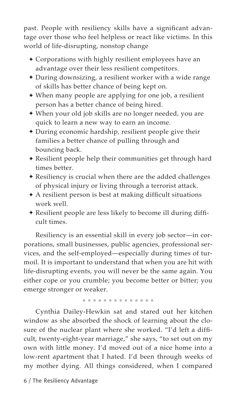past. People with resiliency skills have a significant advantage over those who feel helpless or react like victims. In this world of life-disrupting, nonstop change

- ✦ Corporations with highly resilient employees have an advantage over their less resilient competitors.
- ✦ During downsizing, a resilient worker with a wide range of skills has better chance of being kept on.
- ✦ When many people are applying for one job, a resilient person has a better chance of being hired.
- ✦ When your old job skills are no longer needed, you are quick to learn a new way to earn an income.
- ✦ During economic hardship, resilient people give their families a better chance of pulling through and bouncing back.
- ✦ Resilient people help their communities get through hard times better.
- ✦ Resiliency is crucial when there are the added challenges of physical injury or living through a terrorist attack.
- ✦ A resilient person is best at making difficult situations work well.
- ✦ Resilient people are less likely to become ill during difficult times.

Resiliency is an essential skill in every job sector—in corporations, small businesses, public agencies, professional services, and the self-employed—especially during times of turmoil. It is important to understand that when you are hit with life-disrupting events, you will never be the same again. You either cope or you crumble; you become better or bitter; you emerge stronger or weaker.

. . . . . . . . . . . . . .

Cynthia Dailey-Hewkin sat and stared out her kitchen window as she absorbed the shock of learning about the closure of the nuclear plant where she worked. "I'd left a difficult, twenty-eight-year marriage," she says, "to set out on my own with little money. I'd moved out of a nice home into a low-rent apartment that I hated. I'd been through weeks of my mother dying. All things considered, when I compared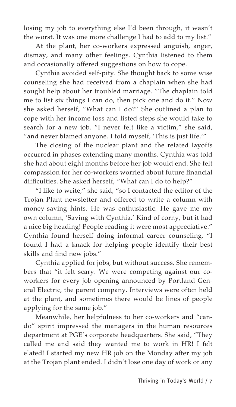losing my job to everything else I'd been through, it wasn't the worst. It was one more challenge I had to add to my list."

At the plant, her co-workers expressed anguish, anger, dismay, and many other feelings. Cynthia listened to them and occasionally offered suggestions on how to cope.

Cynthia avoided self-pity. She thought back to some wise counseling she had received from a chaplain when she had sought help about her troubled marriage. "The chaplain told me to list six things I can do, then pick one and do it." Now she asked herself, "What can I do?" She outlined a plan to cope with her income loss and listed steps she would take to search for a new job. "I never felt like a victim," she said, "and never blamed anyone. I told myself, 'This is just life.'"

The closing of the nuclear plant and the related layoffs occurred in phases extending many months. Cynthia was told she had about eight months before her job would end. She felt compassion for her co-workers worried about future financial difficulties. She asked herself, "What can I do to help?"

"I like to write," she said, "so I contacted the editor of the Trojan Plant newsletter and offered to write a column with money-saving hints. He was enthusiastic. He gave me my own column, 'Saving with Cynthia.' Kind of corny, but it had a nice big heading! People reading it were most appreciative." Cynthia found herself doing informal career counseling. "I found I had a knack for helping people identify their best skills and find new jobs."

Cynthia applied for jobs, but without success. She remembers that "it felt scary. We were competing against our coworkers for every job opening announced by Portland General Electric, the parent company. Interviews were often held at the plant, and sometimes there would be lines of people applying for the same job."

Meanwhile, her helpfulness to her co-workers and "cando" spirit impressed the managers in the human resources department at PGE's corporate headquarters. She said, "They called me and said they wanted me to work in HR! I felt elated! I started my new HR job on the Monday after my job at the Trojan plant ended. I didn't lose one day of work or any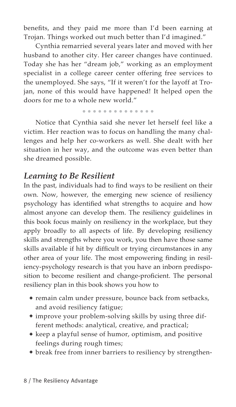benefits, and they paid me more than I'd been earning at Trojan. Things worked out much better than I'd imagined."

Cynthia remarried several years later and moved with her husband to another city. Her career changes have continued. Today she has her "dream job," working as an employment specialist in a college career center offering free services to the unemployed. She says, "If it weren't for the layoff at Trojan, none of this would have happened! It helped open the doors for me to a whole new world."

. . . . . . . . . . . . . .

Notice that Cynthia said she never let herself feel like a victim. Her reaction was to focus on handling the many challenges and help her co-workers as well. She dealt with her situation in her way, and the outcome was even better than she dreamed possible.

#### *Learning to Be Resilient*

In the past, individuals had to find ways to be resilient on their own. Now, however, the emerging new science of resiliency psychology has identified what strengths to acquire and how almost anyone can develop them. The resiliency guidelines in this book focus mainly on resiliency in the workplace, but they apply broadly to all aspects of life. By developing resiliency skills and strengths where you work, you then have those same skills available if hit by difficult or trying circumstances in any other area of your life. The most empowering finding in resiliency-psychology research is that you have an inborn predisposition to become resilient and change-proficient. The personal resiliency plan in this book shows you how to

- ✦ remain calm under pressure, bounce back from setbacks, and avoid resiliency fatigue;
- ✦ improve your problem-solving skills by using three different methods: analytical, creative, and practical;
- ✦ keep a playful sense of humor, optimism, and positive feelings during rough times;
- ✦ break free from inner barriers to resiliency by strengthen-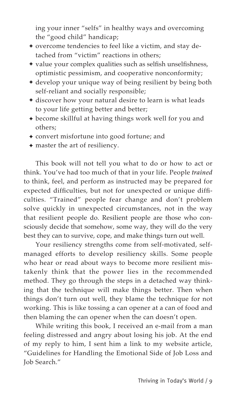ing your inner "selfs" in healthy ways and overcoming the "good child" handicap;

- ✦ overcome tendencies to feel like a victim, and stay detached from "victim" reactions in others;
- ✦ value your complex qualities such as selfish unselfishness, optimistic pessimism, and cooperative nonconformity;
- ✦ develop your unique way of being resilient by being both self-reliant and socially responsible;
- ✦ discover how your natural desire to learn is what leads to your life getting better and better;
- ✦ become skillful at having things work well for you and others;
- ✦ convert misfortune into good fortune; and
- ✦ master the art of resiliency.

This book will not tell you what to do or how to act or think. You've had too much of that in your life. People *trained* to think, feel, and perform as instructed may be prepared for expected difficulties, but not for unexpected or unique difficulties. "Trained" people fear change and don't problem solve quickly in unexpected circumstances, not in the way that resilient people do. Resilient people are those who consciously decide that somehow, some way, they will do the very best they can to survive, cope, and make things turn out well.

Your resiliency strengths come from self-motivated, selfmanaged efforts to develop resiliency skills. Some people who hear or read about ways to become more resilient mistakenly think that the power lies in the recommended method. They go through the steps in a detached way thinking that the technique will make things better. Then when things don't turn out well, they blame the technique for not working. This is like tossing a can opener at a can of food and then blaming the can opener when the can doesn't open.

While writing this book, I received an e-mail from a man feeling distressed and angry about losing his job. At the end of my reply to him, I sent him a link to my website article, "Guidelines for Handling the Emotional Side of Job Loss and Job Search."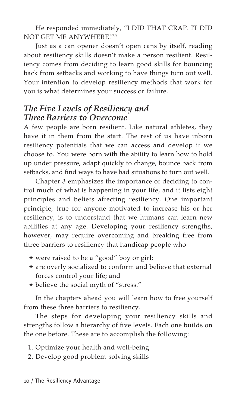He responded immediately, "I DID THAT CRAP. IT DID NOT GET ME ANYWHERE!"[5](#page--1-0)

Just as a can opener doesn't open cans by itself, reading about resiliency skills doesn't make a person resilient. Resiliency comes from deciding to learn good skills for bouncing back from setbacks and working to have things turn out well. Your intention to develop resiliency methods that work for you is what determines your success or failure.

#### *The Five Levels of Resiliency and Three Barriers to Overcome*

A few people are born resilient. Like natural athletes, they have it in them from the start. The rest of us have inborn resiliency potentials that we can access and develop if we choose to. You were born with the ability to learn how to hold up under pressure, adapt quickly to change, bounce back from setbacks, and find ways to have bad situations to turn out well.

Chapter 3 emphasizes the importance of deciding to control much of what is happening in your life, and it lists eight principles and beliefs affecting resiliency. One important principle, true for anyone motivated to increase his or her resiliency, is to understand that we humans can learn new abilities at any age. Developing your resiliency strengths, however, may require overcoming and breaking free from three barriers to resiliency that handicap people who

- ✦ were raised to be a "good" boy or girl;
- ✦ are overly socialized to conform and believe that external forces control your life; and
- ✦ believe the social myth of "stress."

In the chapters ahead you will learn how to free yourself from these three barriers to resiliency.

The steps for developing your resiliency skills and strengths follow a hierarchy of five levels. Each one builds on the one before. These are to accomplish the following:

- 1. Optimize your health and well-being
- 2. Develop good problem-solving skills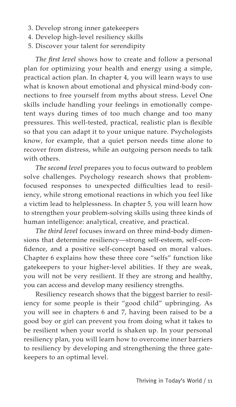- 3. Develop strong inner gatekeepers
- 4. Develop high-level resiliency skills
- 5. Discover your talent for serendipity

*The first level* shows how to create and follow a personal plan for optimizing your health and energy using a simple, practical action plan. In chapter 4, you will learn ways to use what is known about emotional and physical mind-body connections to free yourself from myths about stress. Level One skills include handling your feelings in emotionally competent ways during times of too much change and too many pressures. This well-tested, practical, realistic plan is flexible so that you can adapt it to your unique nature. Psychologists know, for example, that a quiet person needs time alone to recover from distress, while an outgoing person needs to talk with others.

*The second level* prepares you to focus outward to problem solve challenges. Psychology research shows that problemfocused responses to unexpected difficulties lead to resiliency, while strong emotional reactions in which you feel like a victim lead to helplessness. In chapter 5, you will learn how to strengthen your problem-solving skills using three kinds of human intelligence: analytical, creative, and practical.

*The third level* focuses inward on three mind-body dimensions that determine resiliency—strong self-esteem, self-confidence, and a positive self-concept based on moral values. Chapter 6 explains how these three core "selfs" function like gatekeepers to your higher-level abilities. If they are weak, you will not be very resilient. If they are strong and healthy, you can access and develop many resiliency strengths.

Resiliency research shows that the biggest barrier to resiliency for some people is their "good child" upbringing. As you will see in chapters 6 and 7, having been raised to be a good boy or girl can prevent you from doing what it takes to be resilient when your world is shaken up. In your personal resiliency plan, you will learn how to overcome inner barriers to resiliency by developing and strengthening the three gatekeepers to an optimal level.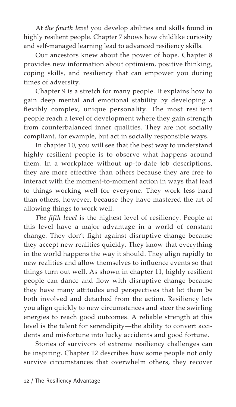At *the fourth level* you develop abilities and skills found in highly resilient people. Chapter 7 shows how childlike curiosity and self-managed learning lead to advanced resiliency skills.

Our ancestors knew about the power of hope. Chapter 8 provides new information about optimism, positive thinking, coping skills, and resiliency that can empower you during times of adversity.

Chapter 9 is a stretch for many people. It explains how to gain deep mental and emotional stability by developing a flexibly complex, unique personality. The most resilient people reach a level of development where they gain strength from counterbalanced inner qualities. They are not socially compliant, for example, but act in socially responsible ways.

In chapter 10, you will see that the best way to understand highly resilient people is to observe what happens around them. In a workplace without up-to-date job descriptions, they are more effective than others because they are free to interact with the moment-to-moment action in ways that lead to things working well for everyone. They work less hard than others, however, because they have mastered the art of allowing things to work well.

*The fifth level* is the highest level of resiliency. People at this level have a major advantage in a world of constant change. They don't fight against disruptive change because they accept new realities quickly. They know that everything in the world happens the way it should. They align rapidly to new realities and allow themselves to influence events so that things turn out well. As shown in chapter 11, highly resilient people can dance and flow with disruptive change because they have many attitudes and perspectives that let them be both involved and detached from the action. Resiliency lets you align quickly to new circumstances and steer the swirling energies to reach good outcomes. A reliable strength at this level is the talent for serendipity—the ability to convert accidents and misfortune into lucky accidents and good fortune.

Stories of survivors of extreme resiliency challenges can be inspiring. Chapter 12 describes how some people not only survive circumstances that overwhelm others, they recover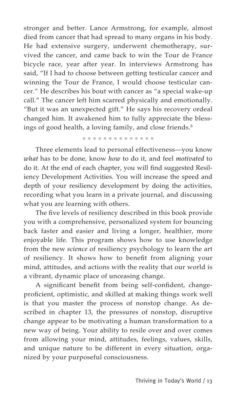stronger and better. Lance Armstrong, for example, almost died from cancer that had spread to many organs in his body. He had extensive surgery, underwent chemotherapy, survived the cancer, and came back to win the Tour de France bicycle race, year after year. In interviews Armstrong has said, "If I had to choose between getting testicular cancer and winning the Tour de France, I would choose testicular cancer." He describes his bout with cancer as "a special wake-up call." The cancer left him scarred physically and emotionally. "But it was an unexpected gift." He says his recovery ordeal changed him. It awakened him to fully appreciate the bless-ings of good health, a loving family, and close friends.<sup>[6](#page--1-0)</sup>

#### . . . . . . . . . . . . . .

Three elements lead to personal effectiveness—you know *what* has to be done, know *how* to do it, and feel *motivated* to do it. At the end of each chapter, you will find suggested Resiliency Development Activities. You will increase the speed and depth of your resiliency development by doing the activities, recording what you learn in a private journal, and discussing what you are learning with others.

The five levels of resiliency described in this book provide you with a comprehensive, personalized system for bouncing back faster and easier and living a longer, healthier, more enjoyable life. This program shows how to use knowledge from the new *science* of resiliency psychology to learn the art of resiliency. It shows how to benefit from aligning your mind, attitudes, and actions with the reality that our world is a vibrant, dynamic place of unceasing change.

A significant benefit from being self-confident, changeproficient, optimistic, and skilled at making things work well is that you master the process of nonstop change. As described in chapter 13, the pressures of nonstop, disruptive change appear to be motivating a human transformation to a new way of being. Your ability to resile over and over comes from allowing your mind, attitudes, feelings, values, skills, and unique nature to be different in every situation, organized by your purposeful consciousness.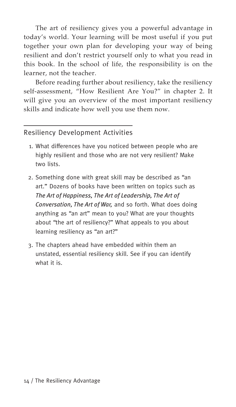The art of resiliency gives you a powerful advantage in today's world. Your learning will be most useful if you put together your own plan for developing your way of being resilient and don't restrict yourself only to what you read in this book. In the school of life, the responsibility is on the learner, not the teacher.

Before reading further about resiliency, take the resiliency self-assessment, "How Resilient Are You?" in chapter 2. It will give you an overview of the most important resiliency skills and indicate how well you use them now.

#### Resiliency Development Activities

- 1. What differences have you noticed between people who are highly resilient and those who are not very resilient? Make two lists.
- 2. Something done with great skill may be described as "an art." Dozens of books have been written on topics such as *The Art of Happiness, The Art of Leadership, The Art of Conversation, The Art of War,* and so forth. What does doing anything as "an art" mean to you? What are your thoughts about "the art of resiliency?" What appeals to you about learning resiliency as "an art?"
- 3. The chapters ahead have embedded within them an unstated, essential resiliency skill. See if you can identify what it is.